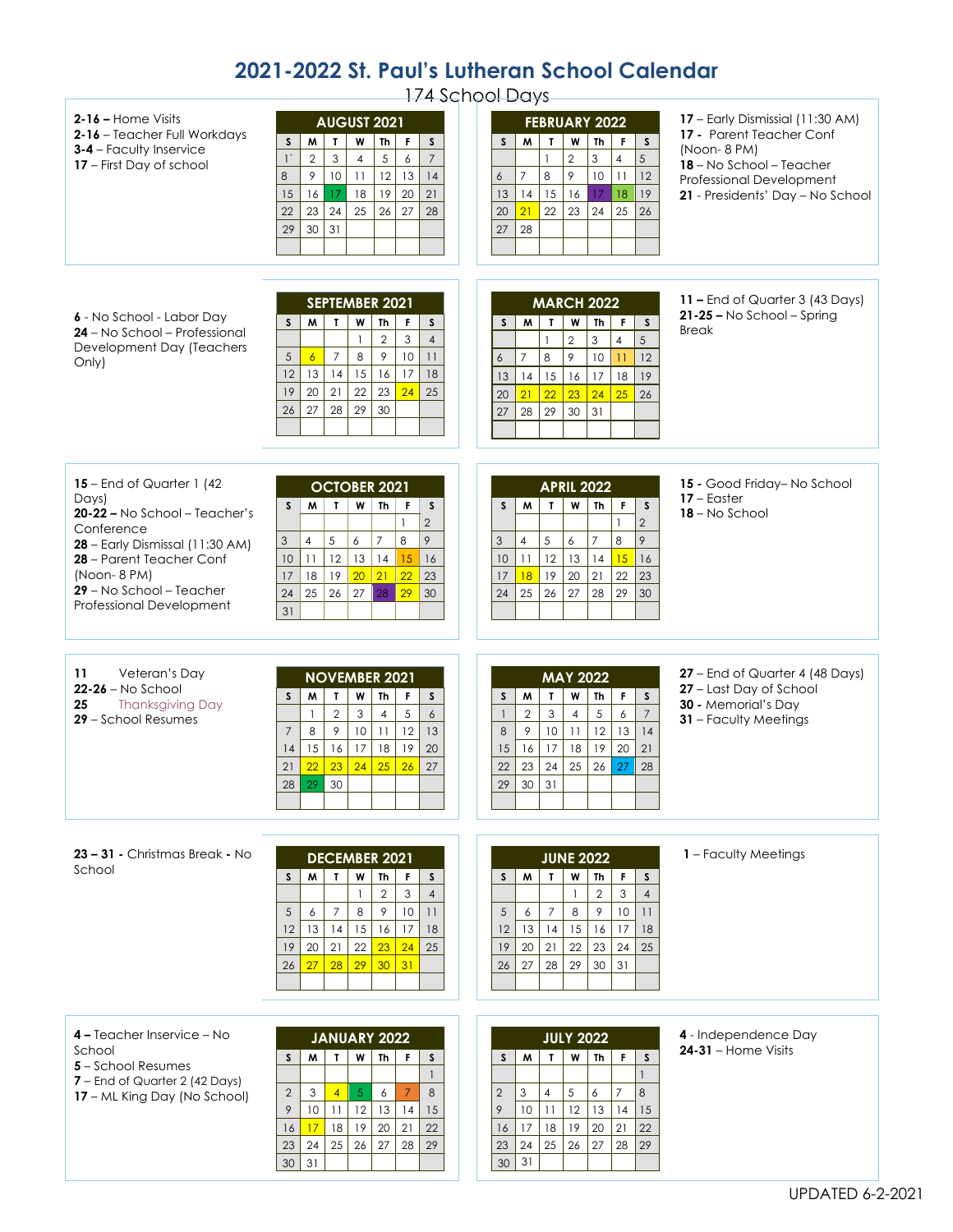## **2021-2022 St. Paul's Lutheran School Calendar**

| 174 School Days                                                                                                                                                                                                          |                                                                                                                                                                                                                                                                                                                                                                              |                                                                                                                                                                                                                                                                                                                                          |                                                                                                                                                                         |
|--------------------------------------------------------------------------------------------------------------------------------------------------------------------------------------------------------------------------|------------------------------------------------------------------------------------------------------------------------------------------------------------------------------------------------------------------------------------------------------------------------------------------------------------------------------------------------------------------------------|------------------------------------------------------------------------------------------------------------------------------------------------------------------------------------------------------------------------------------------------------------------------------------------------------------------------------------------|-------------------------------------------------------------------------------------------------------------------------------------------------------------------------|
| $2-16$ – Home Visits<br>2-16 - Teacher Full Workdays<br>3-4 - Faculty Inservice<br>17 - First Day of school                                                                                                              | <b>AUGUST 2021</b><br>$\mathbf{F}$<br>$\mathbf{L}$<br>W<br>$\mathsf{s}$<br>M<br>Th<br>$\mathsf{s}$<br>$\mathfrak{S}$<br>5<br>$\overline{7}$<br>$\overline{2}$<br>6<br>$\mathbf{1}^{\prime}$<br>$\overline{4}$<br>12<br>8<br>9<br>10<br>13<br>14<br>11<br>19<br>16<br>17<br>18<br>20<br>21<br>15<br>23<br>25<br>26<br>27<br>28<br>22<br>24<br>30<br>31<br>29                  | <b>FEBRUARY 2022</b><br>$\mathbf{T}$<br>W<br><b>Th</b><br>$\mathsf F$<br>M<br>$\mathsf S$<br>S<br>$\overline{2}$<br>3<br>$5\overline{)}$<br>$\overline{\mathbf{4}}$<br>$\mathbf{1}$<br>8<br>9<br>$\overline{7}$<br>10<br>11<br>12<br>6<br>15<br>16<br>17<br>18<br>13<br>14<br>19<br>25<br>21<br>22<br>23<br>26<br>20<br>24<br>28<br>27   | 17 - Early Dismissial (11:30 AM)<br>17 - Parent Teacher Conf<br>(Noon-8 PM)<br>18 - No School - Teacher<br>Professional Development<br>21 - Presidents' Day - No School |
| 6 - No School - Labor Day<br>24 - No School - Professional<br>Development Day (Teachers<br>Only)                                                                                                                         | SEPTEMBER 2021<br>$\mathsf{s}$<br>M<br>$\mathbf{T}$<br>W<br>F<br>$\mathsf{s}$<br>Th<br>$\overline{2}$<br>$\mathsf 3$<br>$\mathbf{1}$<br>$\overline{4}$<br>8<br>$\,9$<br>$\overline{7}$<br>10<br>$\sqrt{5}$<br>$\overline{6}$<br>11<br>14<br>15<br>16<br>17<br>12<br>13<br>18<br>21<br>23<br>24<br>19<br>20<br>22<br>25<br>29<br>27<br>28<br>30<br>26                         | <b>MARCH 2022</b><br>M<br>$\mathbf{I}$<br>Th<br>F<br>$\mathsf{s}$<br>S<br>W<br>$\overline{2}$<br>5<br>3<br>$\overline{4}$<br>$\mathbf{1}$<br>9<br>$\overline{7}$<br>8<br>12<br>10<br>11<br>$\boldsymbol{6}$<br>18<br>15<br>16<br>14<br>17<br>19<br>13<br>22<br>23<br>26<br>20<br>21<br>24<br>25<br>28<br>29<br>30<br>31<br>27            | 11 - End of Quarter 3 (43 Days)<br>$21 - 25 - No School - Spring$<br><b>Break</b>                                                                                       |
| 15 – End of Quarter 1 (42)<br>Days)<br>20-22 - No School - Teacher's<br>Conference<br>28 - Early Dismissal (11:30 AM)<br>28 - Parent Teacher Conf<br>(Noon-8 PM)<br>29 - No School - Teacher<br>Professional Development | <b>OCTOBER 2021</b><br>$\mathbf{I}$<br>W<br>F<br>M<br><b>Th</b><br>s<br>S.<br>$\overline{2}$<br>1<br>9<br>$\overline{7}$<br>8<br>$\overline{4}$<br>5<br>6<br>3<br>11<br>12<br>10<br>13<br>14<br>15<br>16<br>21<br>22<br>18<br>19<br>20 <sub>2</sub><br>23<br>17<br>29<br>25<br>28<br>26<br>27<br>30<br>24<br>31                                                              | <b>APRIL 2022</b><br>$\mathsf F$<br>M<br>W<br><b>Th</b><br>S<br>$\mathbf{T}$<br>S<br>$\overline{2}$<br>1<br>8<br>$\overline{7}$<br>9<br>5<br>6<br>3<br>$\overline{4}$<br>12<br>13<br>15<br>10<br>11<br>16<br>14<br>22<br>18<br>19<br>20<br>21<br>23<br>17<br>26<br>27<br>25<br>28<br>29<br>30<br>24                                      | 15 - Good Friday-No School<br>$17 -$ Easter<br>18 - No School                                                                                                           |
| Veteran's Day<br>11<br>$22-26 - No$ School<br>25<br><b>Thanksgiving Day</b><br>29 - School Resumes                                                                                                                       | <b>NOVEMBER 2021</b><br>$\mathbf{T}$<br>W<br>F<br>$\mathsf S$<br>S<br>M<br>Th<br>$\sqrt{2}$<br>5<br>$\mathbf{3}$<br>$\overline{\mathbf{4}}$<br>$\boldsymbol{6}$<br>$\mathbf{1}$<br>12<br>$10$<br>$\mathcal{P}$<br>11<br>13<br>8<br>$\overline{7}$<br>$17\,$<br>18<br>19<br>16<br>20<br>15<br>14<br>$23 \mid 24$<br>25<br>26<br>22<br>27<br>21<br>29<br>30 <sup>°</sup><br>28 | <b>MAY 2022</b><br>W<br>Th<br>S<br>M<br>$\mathbf{T}$<br>F.<br>S<br>$\overline{7}$<br>$\sqrt{5}$<br>$\overline{2}$<br>$\mathsf 3$<br>6<br>$\overline{4}$<br>$\mathbf{1}$<br>12<br> 4<br>9<br>10<br>13<br>11<br>$\,8\,$<br>19<br>20<br>16<br>17<br>18<br>21<br>15<br>22<br>23<br>24<br>25<br>26<br>28<br>27<br>30 <sup>°</sup><br>31<br>29 | 27 - End of Quarter 4 (48 Days)<br>27 - Last Day of School<br>30 - Memorial's Day<br>31 - Faculty Meetings                                                              |
| <b>23 – 31 -</b> Christmas Break - No<br>School                                                                                                                                                                          | <b>DECEMBER 2021</b><br>W<br>S.<br>T.<br><b>Th</b><br>F<br>s<br>M<br>$\overline{2}$<br>3<br>$\overline{4}$<br>5<br>$\overline{7}$<br>8<br>9<br>10<br>6<br>11<br> 4 <br>17<br>12<br>13<br>15<br>16<br>18<br>23<br>24<br>19<br>20<br>21<br>22<br>25<br>29<br>30<br>28<br>31<br>26<br>27                                                                                        | <b>JUNE 2022</b><br>W<br>M<br>$\mathbf{I}$<br>Th<br>F.<br>S.<br>S<br>$\overline{2}$<br>3<br>$\overline{4}$<br>$\overline{7}$<br>8<br>9<br>10<br>5<br>6<br>11<br>15<br>16<br>18<br>12<br>13<br>14<br>17<br>19<br>20<br>21<br>22<br>23<br>24<br>25<br>28<br>29<br>30<br>31<br>27<br>26                                                     | 1 - Faculty Meetings                                                                                                                                                    |
| 4 – Teacher Inservice – No<br>School<br>5 - School Resumes<br>7 - End of Quarter 2 (42 Days)<br>17 – ML King Day (No School)                                                                                             | <b>JANUARY 2022</b><br>W<br>M<br>$\mathbf{I}$<br>Th<br>S<br>F.<br>S<br>$\overline{1}$<br>$\overline{7}$<br>$\sqrt{5}$<br>$\,8\,$<br>$\mathbf{2}$<br>3<br>$\overline{4}$<br>6<br>9<br>10<br>11<br>12<br>13<br>14<br>15<br>20<br>19<br>21<br> 8 <br>22<br>16<br>17<br>24<br>25<br>26<br>27<br>28<br>29<br>23                                                                   | <b>JULY 2022</b><br>$\mathbf{I}$<br>W<br>F<br>S<br>S<br>M<br>Th<br>$\mathbf{1}$<br>$\overline{7}$<br>5<br>8<br>$\overline{4}$<br>6<br>$\overline{2}$<br>3<br>11<br>12<br>14<br>9<br>10 <sup>°</sup><br>13<br>15<br>18<br>19<br>20<br>21<br>22<br>17<br>16<br>23<br>24<br>25<br>26<br>28<br>29<br>27                                      | 4 - Independence Day<br>$24-31$ – Home Visits                                                                                                                           |

31

 $\begin{array}{|c|c|c|}\n\hline\n & 30 & 31 \\
\hline\n\end{array}$